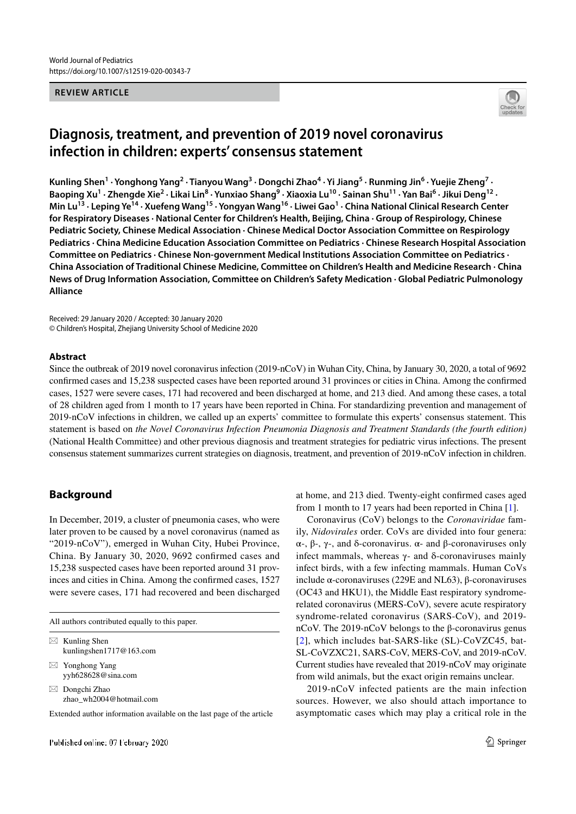#### **REVIEW ARTICLE**



# **Diagnosis, treatment, and prevention of 2019 novel coronavirus infection in children: experts' consensus statement**

Kunling Shen<sup>1</sup> · Yonghong Yang<sup>2</sup> · Tianyou Wang<sup>3</sup> · Dongchi Zhao<sup>4</sup> · Yi Jiang<sup>5</sup> · Runming Jin<sup>6</sup> · Yuejie Zheng<sup>7</sup> · Baoping Xu<sup>1</sup> · Zhengde Xie<sup>2</sup> · Likai Lin<sup>8</sup> · Yunxiao Shang<sup>9</sup> · Xiaoxia Lu<sup>10</sup> · Sainan Shu<sup>11</sup> · Yan Bai<sup>6</sup> · Jikui Deng<sup>12</sup> · **Min Lu13 · Leping Ye14 · Xuefeng Wang15 · Yongyan Wang16 · Liwei Gao1 · China National Clinical Research Center for Respiratory Diseases · National Center for Children's Health, Beijing, China · Group of Respirology, Chinese Pediatric Society, Chinese Medical Association · Chinese Medical Doctor Association Committee on Respirology Pediatrics · China Medicine Education Association Committee on Pediatrics · Chinese Research Hospital Association Committee on Pediatrics · Chinese Non-government Medical Institutions Association Committee on Pediatrics · China Association of Traditional Chinese Medicine, Committee on Children's Health and Medicine Research · China News of Drug Information Association, Committee on Children's Safety Medication · Global Pediatric Pulmonology Alliance**

Received: 29 January 2020 / Accepted: 30 January 2020 © Children's Hospital, Zhejiang University School of Medicine 2020

#### **Abstract**

Since the outbreak of 2019 novel coronavirus infection (2019-nCoV) in Wuhan City, China, by January 30, 2020, a total of 9692 confirmed cases and 15,238 suspected cases have been reported around 31 provinces or cities in China. Among the confirmed cases, 1527 were severe cases, 171 had recovered and been discharged at home, and 213 died. And among these cases, a total of 28 children aged from 1 month to 17 years have been reported in China. For standardizing prevention and management of 2019-nCoV infections in children, we called up an experts' committee to formulate this experts' consensus statement. This statement is based on *the Novel Coronavirus Infection Pneumonia Diagnosis and Treatment Standards (the fourth edition)* (National Health Committee) and other previous diagnosis and treatment strategies for pediatric virus infections. The present consensus statement summarizes current strategies on diagnosis, treatment, and prevention of 2019-nCoV infection in children.

### **Background**

In December, 2019, a cluster of pneumonia cases, who were later proven to be caused by a novel coronavirus (named as "2019-nCoV"), emerged in Wuhan City, Hubei Province, China. By January 30, 2020, 9692 confirmed cases and 15,238 suspected cases have been reported around 31 provinces and cities in China. Among the confirmed cases, 1527 were severe cases, 171 had recovered and been discharged

All authors contributed equally to this paper.

| $\boxtimes$ Kunling Shen<br>kunlingshen1717@163.com |
|-----------------------------------------------------|
| $\boxtimes$ Yonghong Yang<br>yyh628628@sina.com     |

 $\boxtimes$  Dongchi Zhao zhao\_wh2004@hotmail.com

Extended author information available on the last page of the article

at home, and 213 died. Twenty-eight confirmed cases aged from 1 month to 17 years had been reported in China [1].

Coronavirus (CoV) belongs to the *Coronaviridae* family, *Nidovirales* order. CoVs are divided into four genera: α-, β-, γ-, and δ-coronavirus. α- and β-coronaviruses only infect mammals, whereas  $γ$ - and δ-coronaviruses mainly infect birds, with a few infecting mammals. Human CoVs include α-coronaviruses (229E and NL63), β-coronaviruses (OC43 and HKU1), the Middle East respiratory syndromerelated coronavirus (MERS-CoV), severe acute respiratory syndrome-related coronavirus (SARS-CoV), and 2019 nCoV. The 2019-nCoV belongs to the β-coronavirus genus [2], which includes bat-SARS-like (SL)-CoVZC45, bat-SL-CoVZXC21, SARS-CoV, MERS-CoV, and 2019-nCoV. Current studies have revealed that 2019-nCoV may originate from wild animals, but the exact origin remains unclear.

2019-nCoV infected patients are the main infection sources. However, we also should attach importance to asymptomatic cases which may play a critical role in the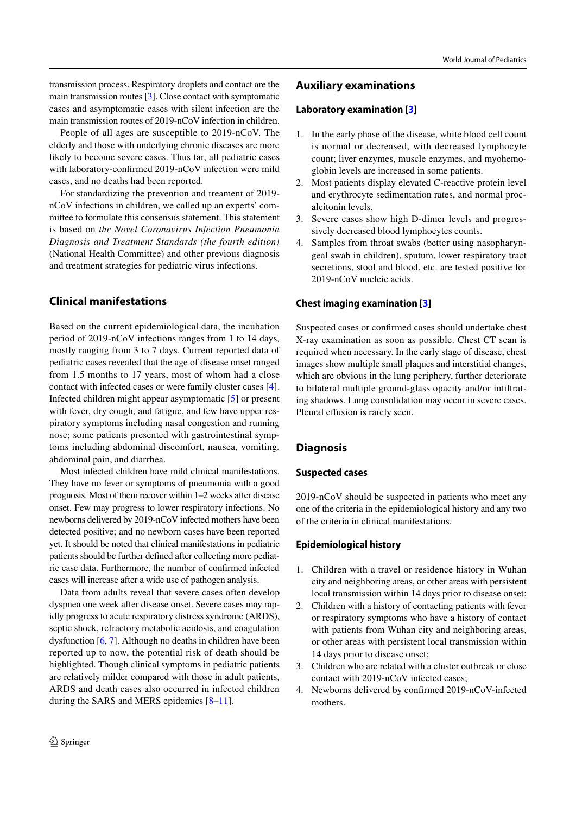transmission process. Respiratory droplets and contact are the main transmission routes [3]. Close contact with symptomatic cases and asymptomatic cases with silent infection are the main transmission routes of 2019-nCoV infection in children.

People of all ages are susceptible to 2019-nCoV. The elderly and those with underlying chronic diseases are more likely to become severe cases. Thus far, all pediatric cases with laboratory-confirmed 2019-nCoV infection were mild cases, and no deaths had been reported.

For standardizing the prevention and treament of 2019 nCoV infections in children, we called up an experts' committee to formulate this consensus statement. This statement is based on *the Novel Coronavirus Infection Pneumonia Diagnosis and Treatment Standards (the fourth edition)* (National Health Committee) and other previous diagnosis and treatment strategies for pediatric virus infections.

## **Clinical manifestations**

Based on the current epidemiological data, the incubation period of 2019-nCoV infections ranges from 1 to 14 days, mostly ranging from 3 to 7 days. Current reported data of pediatric cases revealed that the age of disease onset ranged from 1.5 months to 17 years, most of whom had a close contact with infected cases or were family cluster cases [4]. Infected children might appear asymptomatic [5] or present with fever, dry cough, and fatigue, and few have upper respiratory symptoms including nasal congestion and running nose; some patients presented with gastrointestinal symptoms including abdominal discomfort, nausea, vomiting, abdominal pain, and diarrhea.

Most infected children have mild clinical manifestations. They have no fever or symptoms of pneumonia with a good prognosis. Most of them recover within 1–2 weeks after disease onset. Few may progress to lower respiratory infections. No newborns delivered by 2019-nCoV infected mothers have been detected positive; and no newborn cases have been reported yet. It should be noted that clinical manifestations in pediatric patients should be further defined after collecting more pediatric case data. Furthermore, the number of confirmed infected cases will increase after a wide use of pathogen analysis.

Data from adults reveal that severe cases often develop dyspnea one week after disease onset. Severe cases may rapidly progress to acute respiratory distress syndrome (ARDS), septic shock, refractory metabolic acidosis, and coagulation dysfunction [6, 7]. Although no deaths in children have been reported up to now, the potential risk of death should be highlighted. Though clinical symptoms in pediatric patients are relatively milder compared with those in adult patients, ARDS and death cases also occurred in infected children during the SARS and MERS epidemics [8–11].

#### **Laboratory examination [3]**

- 1. In the early phase of the disease, white blood cell count is normal or decreased, with decreased lymphocyte count; liver enzymes, muscle enzymes, and myohemoglobin levels are increased in some patients.
- 2. Most patients display elevated C-reactive protein level and erythrocyte sedimentation rates, and normal procalcitonin levels.
- 3. Severe cases show high D-dimer levels and progressively decreased blood lymphocytes counts.
- 4. Samples from throat swabs (better using nasopharyngeal swab in children), sputum, lower respiratory tract secretions, stool and blood, etc. are tested positive for 2019-nCoV nucleic acids.

#### **Chest imaging examination [3]**

Suspected cases or confirmed cases should undertake chest X-ray examination as soon as possible. Chest CT scan is required when necessary. In the early stage of disease, chest images show multiple small plaques and interstitial changes, which are obvious in the lung periphery, further deteriorate to bilateral multiple ground-glass opacity and/or infiltrating shadows. Lung consolidation may occur in severe cases. Pleural effusion is rarely seen.

## **Diagnosis**

#### **Suspected cases**

2019-nCoV should be suspected in patients who meet any one of the criteria in the epidemiological history and any two of the criteria in clinical manifestations.

#### **Epidemiological history**

- 1. Children with a travel or residence history in Wuhan city and neighboring areas, or other areas with persistent local transmission within 14 days prior to disease onset;
- 2. Children with a history of contacting patients with fever or respiratory symptoms who have a history of contact with patients from Wuhan city and neighboring areas, or other areas with persistent local transmission within 14 days prior to disease onset;
- 3. Children who are related with a cluster outbreak or close contact with 2019-nCoV infected cases;
- 4. Newborns delivered by confirmed 2019-nCoV-infected mothers.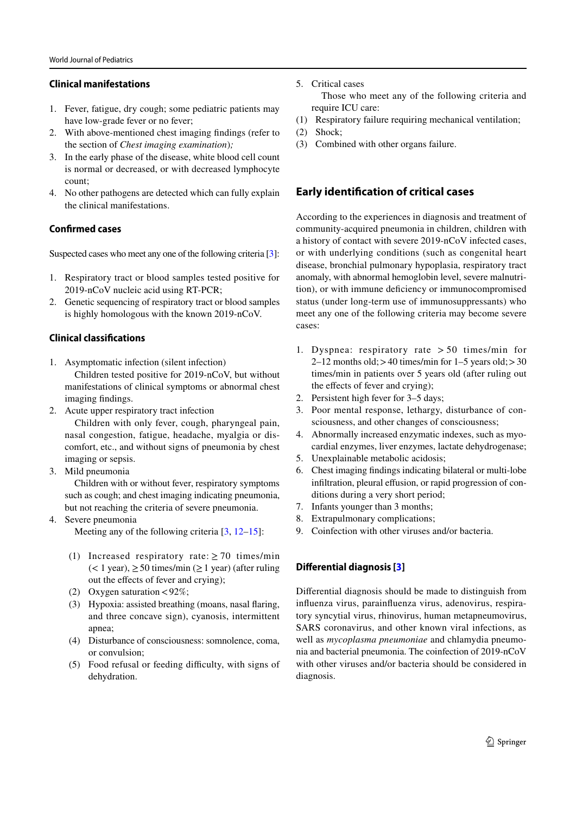### **Clinical manifestations**

- 1. Fever, fatigue, dry cough; some pediatric patients may have low-grade fever or no fever;
- 2. With above-mentioned chest imaging findings (refer to the section of *Chest imaging examination*)*;*
- 3. In the early phase of the disease, white blood cell count is normal or decreased, or with decreased lymphocyte count;
- 4. No other pathogens are detected which can fully explain the clinical manifestations.

# **Confrmed cases**

Suspected cases who meet any one of the following criteria [3]:

- 1. Respiratory tract or blood samples tested positive for 2019-nCoV nucleic acid using RT-PCR;
- 2. Genetic sequencing of respiratory tract or blood samples is highly homologous with the known 2019-nCoV.

## **Clinical classifcations**

- 1. Asymptomatic infection (silent infection) Children tested positive for 2019-nCoV, but without manifestations of clinical symptoms or abnormal chest imaging findings.
- 2. Acute upper respiratory tract infection Children with only fever, cough, pharyngeal pain, nasal congestion, fatigue, headache, myalgia or discomfort, etc., and without signs of pneumonia by chest imaging or sepsis.
- 3. Mild pneumonia

 Children with or without fever, respiratory symptoms such as cough; and chest imaging indicating pneumonia, but not reaching the criteria of severe pneumonia.

4. Severe pneumonia

Meeting any of the following criteria  $[3, 12-15]$ :

- (1) Increased respiratory rate:  $> 70$  times/min  $(< 1$  year),  $\geq 50$  times/min ( $\geq 1$  year) (after ruling out the effects of fever and crying);
- (2) Oxygen saturation  $<92\%$ ;
- (3) Hypoxia: assisted breathing (moans, nasal flaring, and three concave sign), cyanosis, intermittent apnea;
- (4) Disturbance of consciousness: somnolence, coma, or convulsion;
- (5) Food refusal or feeding difficulty, with signs of dehydration.

5. Critical cases

 Those who meet any of the following criteria and require ICU care:

- (1) Respiratory failure requiring mechanical ventilation;
- (2) Shock;
- (3) Combined with other organs failure.

# **Early identifcation of critical cases**

According to the experiences in diagnosis and treatment of community-acquired pneumonia in children, children with a history of contact with severe 2019-nCoV infected cases, or with underlying conditions (such as congenital heart disease, bronchial pulmonary hypoplasia, respiratory tract anomaly, with abnormal hemoglobin level, severe malnutrition), or with immune deficiency or immunocompromised status (under long-term use of immunosuppressants) who meet any one of the following criteria may become severe cases:

- 1. Dyspnea: respiratory rate  $> 50$  times/min for  $2-12$  months old;  $>40$  times/min for  $1-5$  years old;  $>30$ times/min in patients over 5 years old (after ruling out the effects of fever and crying);
- 2. Persistent high fever for 3–5 days;
- 3. Poor mental response, lethargy, disturbance of consciousness, and other changes of consciousness;
- 4. Abnormally increased enzymatic indexes, such as myocardial enzymes, liver enzymes, lactate dehydrogenase;
- 5. Unexplainable metabolic acidosis;
- 6. Chest imaging findings indicating bilateral or multi-lobe infiltration, pleural effusion, or rapid progression of conditions during a very short period;
- 7. Infants younger than 3 months;
- 8. Extrapulmonary complications;
- 9. Coinfection with other viruses and/or bacteria.

## **Diferential diagnosis [3]**

Differential diagnosis should be made to distinguish from influenza virus, parainfluenza virus, adenovirus, respiratory syncytial virus, rhinovirus, human metapneumovirus, SARS coronavirus, and other known viral infections, as well as *mycoplasma pneumoniae* and chlamydia pneumonia and bacterial pneumonia. The coinfection of 2019-nCoV with other viruses and/or bacteria should be considered in diagnosis.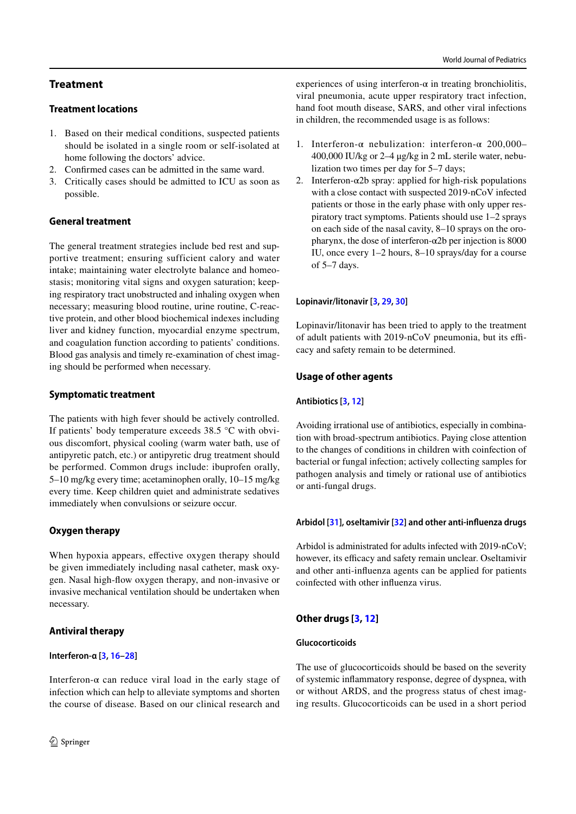# **Treatment**

#### **Treatment locations**

- 1. Based on their medical conditions, suspected patients should be isolated in a single room or self-isolated at home following the doctors' advice.
- 2. Confirmed cases can be admitted in the same ward.
- 3. Critically cases should be admitted to ICU as soon as possible.

### **General treatment**

The general treatment strategies include bed rest and supportive treatment; ensuring sufficient calory and water intake; maintaining water electrolyte balance and homeostasis; monitoring vital signs and oxygen saturation; keeping respiratory tract unobstructed and inhaling oxygen when necessary; measuring blood routine, urine routine, C-reactive protein, and other blood biochemical indexes including liver and kidney function, myocardial enzyme spectrum, and coagulation function according to patients' conditions. Blood gas analysis and timely re-examination of chest imaging should be performed when necessary.

### **Symptomatic treatment**

The patients with high fever should be actively controlled. If patients' body temperature exceeds 38.5 °C with obvious discomfort, physical cooling (warm water bath, use of antipyretic patch, etc.) or antipyretic drug treatment should be performed. Common drugs include: ibuprofen orally, 5–10 mg/kg every time; acetaminophen orally, 10–15 mg/kg every time. Keep children quiet and administrate sedatives immediately when convulsions or seizure occur.

## **Oxygen therapy**

When hypoxia appears, effective oxygen therapy should be given immediately including nasal catheter, mask oxygen. Nasal high-flow oxygen therapy, and non-invasive or invasive mechanical ventilation should be undertaken when necessary.

## **Antiviral therapy**

#### **Interferon***-***α [3, 16–28]**

Interferon- $\alpha$  can reduce viral load in the early stage of infection which can help to alleviate symptoms and shorten the course of disease. Based on our clinical research and experiences of using interferon- $\alpha$  in treating bronchiolitis, viral pneumonia, acute upper respiratory tract infection, hand foot mouth disease, SARS, and other viral infections in children, the recommended usage is as follows:

- 1. Interferon-α nebulization: interferon-α 200,000– 400,000 IU/kg or 2–4 μg/kg in 2 mL sterile water, nebulization two times per day for 5–7 days;
- 2. Interferon- $\alpha$ 2b spray: applied for high-risk populations with a close contact with suspected 2019-nCoV infected patients or those in the early phase with only upper respiratory tract symptoms. Patients should use 1–2 sprays on each side of the nasal cavity, 8–10 sprays on the oropharynx, the dose of interferon- $\alpha$ 2b per injection is 8000 IU, once every 1–2 hours, 8–10 sprays/day for a course of 5–7 days.

#### **Lopinavir/litonavir [3, 29, 30]**

Lopinavir/litonavir has been tried to apply to the treatment of adult patients with 2019-nCoV pneumonia, but its efficacy and safety remain to be determined.

### **Usage of other agents**

#### **Antibiotics [3, 12]**

Avoiding irrational use of antibiotics, especially in combination with broad-spectrum antibiotics. Paying close attention to the changes of conditions in children with coinfection of bacterial or fungal infection; actively collecting samples for pathogen analysis and timely or rational use of antibiotics or anti-fungal drugs.

#### **Arbidol [31], oseltamivir [32] and other anti-infuenza drugs**

Arbidol is administrated for adults infected with 2019-nCoV; however, its efficacy and safety remain unclear. Oseltamivir and other anti-influenza agents can be applied for patients coinfected with other influenza virus.

#### **Other drugs [3, 12]**

#### **Glucocorticoids**

The use of glucocorticoids should be based on the severity of systemic inflammatory response, degree of dyspnea, with or without ARDS, and the progress status of chest imaging results. Glucocorticoids can be used in a short period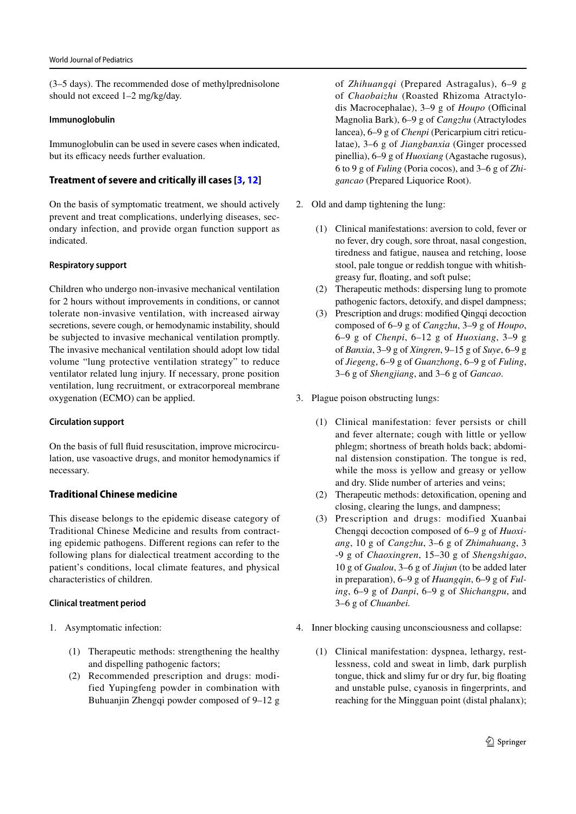(3–5 days). The recommended dose of methylprednisolone should not exceed 1–2 mg/kg/day.

#### **Immunoglobulin**

Immunoglobulin can be used in severe cases when indicated, but its efficacy needs further evaluation.

#### **Treatment of severe and critically ill cases [3, 12]**

On the basis of symptomatic treatment, we should actively prevent and treat complications, underlying diseases, secondary infection, and provide organ function support as indicated.

#### **Respiratory support**

Children who undergo non-invasive mechanical ventilation for 2 hours without improvements in conditions, or cannot tolerate non-invasive ventilation, with increased airway secretions, severe cough, or hemodynamic instability, should be subjected to invasive mechanical ventilation promptly. The invasive mechanical ventilation should adopt low tidal volume "lung protective ventilation strategy" to reduce ventilator related lung injury. If necessary, prone position ventilation, lung recruitment, or extracorporeal membrane oxygenation (ECMO) can be applied.

#### **Circulation support**

On the basis of full fluid resuscitation, improve microcirculation, use vasoactive drugs, and monitor hemodynamics if necessary.

#### **Traditional Chinese medicine**

This disease belongs to the epidemic disease category of Traditional Chinese Medicine and results from contracting epidemic pathogens. Different regions can refer to the following plans for dialectical treatment according to the patient's conditions, local climate features, and physical characteristics of children.

#### **Clinical treatment period**

- 1. Asymptomatic infection:
	- (1) Therapeutic methods: strengthening the healthy and dispelling pathogenic factors;
	- (2) Recommended prescription and drugs: modified Yupingfeng powder in combination with Buhuanjin Zhengqi powder composed of 9–12 g

of *Zhihuangqi* (Prepared Astragalus), 6–9 g of *Chaobaizhu* (Roasted Rhizoma Atractylodis Macrocephalae), 3–9 g of *Houpo* (Officinal Magnolia Bark), 6–9 g of *Cangzhu* (Atractylodes lancea), 6–9 g of *Chenpi* (Pericarpium citri reticulatae), 3–6 g of *Jiangbanxia* (Ginger processed pinellia), 6–9 g of *Huoxiang* (Agastache rugosus), 6 to 9 g of *Fuling* (Poria cocos), and 3–6 g of *Zhigancao* (Prepared Liquorice Root).

- 2. Old and damp tightening the lung:
	- (1) Clinical manifestations: aversion to cold, fever or no fever, dry cough, sore throat, nasal congestion, tiredness and fatigue, nausea and retching, loose stool, pale tongue or reddish tongue with whitishgreasy fur, floating, and soft pulse;
	- (2) Therapeutic methods: dispersing lung to promote pathogenic factors, detoxify, and dispel dampness;
	- (3) Prescription and drugs: modified Qingqi decoction composed of 6–9 g of *Cangzhu*, 3–9 g of *Houpo*, 6–9 g of *Chenpi*, 6–12 g of *Huoxiang*, 3–9 g of *Banxia*, 3–9 g of *Xingren*, 9–15 g of *Suye*, 6–9 g of *Jiegeng*, 6–9 g of *Guanzhong*, 6–9 g of *Fuling*, 3–6 g of *Shengjiang*, and 3–6 g of *Gancao*.
- 3. Plague poison obstructing lungs:
	- (1) Clinical manifestation: fever persists or chill and fever alternate; cough with little or yellow phlegm; shortness of breath holds back; abdominal distension constipation. The tongue is red, while the moss is yellow and greasy or yellow and dry. Slide number of arteries and veins;
	- (2) Therapeutic methods: detoxification, opening and closing, clearing the lungs, and dampness;
	- (3) Prescription and drugs: modified Xuanbai Chengqi decoction composed of 6–9 g of *Huoxiang*, 10 g of *Cangzhu*, 3–6 g of *Zhimahuang*, 3 -9 g of *Chaoxingren*, 15–30 g of *Shengshigao*, 10 g of *Gualou*, 3–6 g of *Jiujun* (to be added later in preparation), 6–9 g of *Huangqin*, 6–9 g of *Fuling*, 6–9 g of *Danpi*, 6–9 g of *Shichangpu*, and 3–6 g of *Chuanbei.*
- 4. Inner blocking causing unconsciousness and collapse:
	- (1) Clinical manifestation: dyspnea, lethargy, restlessness, cold and sweat in limb, dark purplish tongue, thick and slimy fur or dry fur, big floating and unstable pulse, cyanosis in fingerprints, and reaching for the Mingguan point (distal phalanx);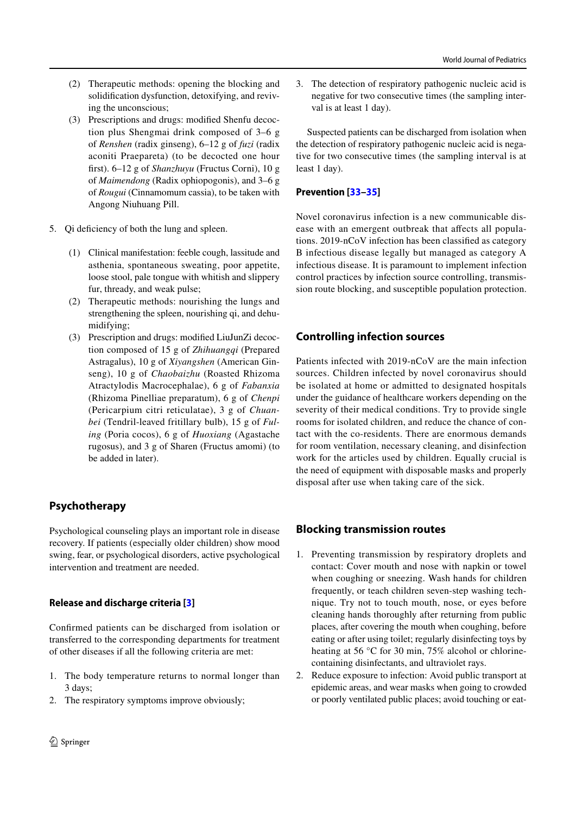- (2) Therapeutic methods: opening the blocking and solidification dysfunction, detoxifying, and reviving the unconscious;
- (3) Prescriptions and drugs: modified Shenfu decoction plus Shengmai drink composed of 3–6 g of *Renshen* (radix ginseng), 6–12 g of *fuzi* (radix aconiti Praepareta) (to be decocted one hour first). 6–12 g of *Shanzhuyu* (Fructus Corni), 10 g of *Maimendong* (Radix ophiopogonis), and 3–6 g of *Rougui* (Cinnamomum cassia), to be taken with Angong Niuhuang Pill.
- 5. Qi deficiency of both the lung and spleen.
	- (1) Clinical manifestation: feeble cough, lassitude and asthenia, spontaneous sweating, poor appetite, loose stool, pale tongue with whitish and slippery fur, thready, and weak pulse;
	- (2) Therapeutic methods: nourishing the lungs and strengthening the spleen, nourishing qi, and dehumidifying;
	- (3) Prescription and drugs: modified LiuJunZi decoction composed of 15 g of *Zhihuangqi* (Prepared Astragalus), 10 g of *Xiyangshen* (American Ginseng), 10 g of *Chaobaizhu* (Roasted Rhizoma Atractylodis Macrocephalae), 6 g of *Fabanxia* (Rhizoma Pinelliae preparatum), 6 g of *Chenpi* (Pericarpium citri reticulatae), 3 g of *Chuanbei* (Tendril-leaved fritillary bulb), 15 g of *Fuling* (Poria cocos), 6 g of *Huoxiang* (Agastache rugosus), and 3 g of Sharen (Fructus amomi) (to be added in later).

# **Psychotherapy**

Psychological counseling plays an important role in disease recovery. If patients (especially older children) show mood swing, fear, or psychological disorders, active psychological intervention and treatment are needed.

# **Release and discharge criteria [3]**

Confirmed patients can be discharged from isolation or transferred to the corresponding departments for treatment of other diseases if all the following criteria are met:

- 1. The body temperature returns to normal longer than 3 days;
- 2. The respiratory symptoms improve obviously;

3. The detection of respiratory pathogenic nucleic acid is negative for two consecutive times (the sampling interval is at least 1 day).

Suspected patients can be discharged from isolation when the detection of respiratory pathogenic nucleic acid is negative for two consecutive times (the sampling interval is at least 1 day).

# **Prevention [33–35]**

Novel coronavirus infection is a new communicable disease with an emergent outbreak that affects all populations. 2019-nCoV infection has been classified as category B infectious disease legally but managed as category A infectious disease. It is paramount to implement infection control practices by infection source controlling, transmission route blocking, and susceptible population protection.

# **Controlling infection sources**

Patients infected with 2019-nCoV are the main infection sources. Children infected by novel coronavirus should be isolated at home or admitted to designated hospitals under the guidance of healthcare workers depending on the severity of their medical conditions. Try to provide single rooms for isolated children, and reduce the chance of contact with the co-residents. There are enormous demands for room ventilation, necessary cleaning, and disinfection work for the articles used by children. Equally crucial is the need of equipment with disposable masks and properly disposal after use when taking care of the sick.

# **Blocking transmission routes**

- 1. Preventing transmission by respiratory droplets and contact: Cover mouth and nose with napkin or towel when coughing or sneezing. Wash hands for children frequently, or teach children seven-step washing technique. Try not to touch mouth, nose, or eyes before cleaning hands thoroughly after returning from public places, after covering the mouth when coughing, before eating or after using toilet; regularly disinfecting toys by heating at 56 °C for 30 min, 75% alcohol or chlorinecontaining disinfectants, and ultraviolet rays.
- 2. Reduce exposure to infection: Avoid public transport at epidemic areas, and wear masks when going to crowded or poorly ventilated public places; avoid touching or eat-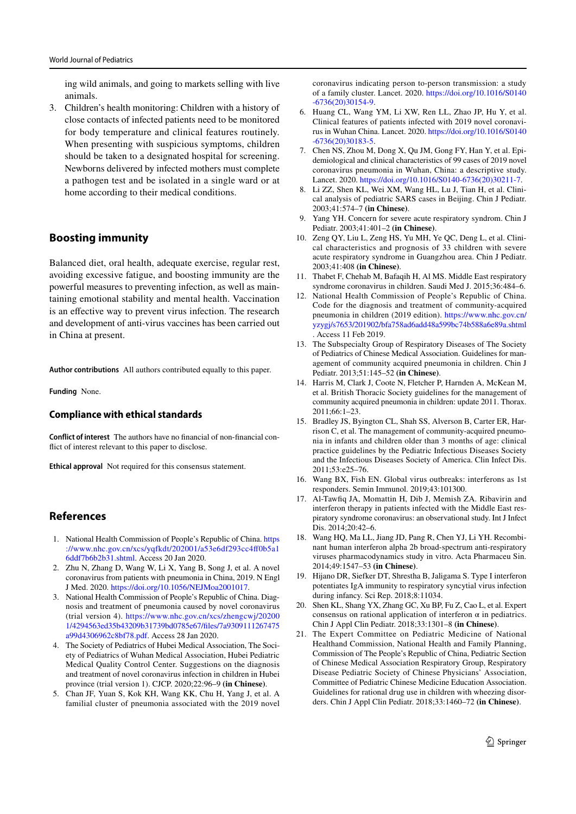ing wild animals, and going to markets selling with live animals.

3. Children's health monitoring: Children with a history of close contacts of infected patients need to be monitored for body temperature and clinical features routinely. When presenting with suspicious symptoms, children should be taken to a designated hospital for screening. Newborns delivered by infected mothers must complete a pathogen test and be isolated in a single ward or at home according to their medical conditions.

# **Boosting immunity**

Balanced diet, oral health, adequate exercise, regular rest, avoiding excessive fatigue, and boosting immunity are the powerful measures to preventing infection, as well as maintaining emotional stability and mental health. Vaccination is an effective way to prevent virus infection. The research and development of anti-virus vaccines has been carried out in China at present.

**Author contributions** All authors contributed equally to this paper.

**Funding** None.

#### **Compliance with ethical standards**

**Conflict of interest** The authors have no financial of non-financial conflict of interest relevant to this paper to disclose.

**Ethical approval** Not required for this consensus statement.

### **References**

- 1. National Health Commission of People's Republic of China. https ://www.nhc.gov.cn/xcs/yqfkdt/202001/a53e6df293cc4ff0b5a1 6ddf7b6b2b31.shtml. Access 20 Jan 2020.
- 2. Zhu N, Zhang D, Wang W, Li X, Yang B, Song J, et al. A novel coronavirus from patients with pneumonia in China, 2019. N Engl J Med. 2020. https://doi.org/10.1056/NEJMoa2001017.
- 3. National Health Commission of People's Republic of China. Diagnosis and treatment of pneumonia caused by novel coronavirus (trial version 4). https://www.nhc.gov.cn/xcs/zhengcwj/20200 1/4294563ed35b43209b31739bd0785e67/files/7a9309111267475 a99d4306962c8bf78.pdf. Access 28 Jan 2020.
- 4. The Society of Pediatrics of Hubei Medical Association, The Society of Pediatrics of Wuhan Medical Association, Hubei Pediatric Medical Quality Control Center. Suggestions on the diagnosis and treatment of novel coronavirus infection in children in Hubei province (trial version 1). CJCP. 2020;22:96–9 **(in Chinese)**.
- 5. Chan JF, Yuan S, Kok KH, Wang KK, Chu H, Yang J, et al. A familial cluster of pneumonia associated with the 2019 novel

coronavirus indicating person to-person transmission: a study of a family cluster. Lancet. 2020. https://doi.org/10.1016/S0140 -6736(20)30154-9.

- 6. Huang CL, Wang YM, Li XW, Ren LL, Zhao JP, Hu Y, et al. Clinical features of patients infected with 2019 novel coronavirus in Wuhan China. Lancet. 2020. https://doi.org/10.1016/S0140 -6736(20)30183-5.
- 7. Chen NS, Zhou M, Dong X, Qu JM, Gong FY, Han Y, et al. Epidemiological and clinical characteristics of 99 cases of 2019 novel coronavirus pneumonia in Wuhan, China: a descriptive study. Lancet. 2020. https://doi.org/10.1016/S0140-6736(20)30211-7.
- 8. Li ZZ, Shen KL, Wei XM, Wang HL, Lu J, Tian H, et al. Clinical analysis of pediatric SARS cases in Beijing. Chin J Pediatr. 2003;41:574–7 **(in Chinese)**.
- 9. Yang YH. Concern for severe acute respiratory syndrom. Chin J Pediatr. 2003;41:401–2 **(in Chinese)**.
- 10. Zeng QY, Liu L, Zeng HS, Yu MH, Ye QC, Deng L, et al. Clinical characteristics and prognosis of 33 children with severe acute respiratory syndrome in Guangzhou area. Chin J Pediatr. 2003;41:408 **(in Chinese)**.
- 11. Thabet F, Chehab M, Bafaqih H, Al MS. Middle East respiratory syndrome coronavirus in children. Saudi Med J. 2015;36:484–6.
- 12. National Health Commission of People's Republic of China. Code for the diagnosis and treatment of community-acquired pneumonia in children (2019 edition). https://www.nhc.gov.cn/ yzygj/s7653/201902/bfa758ad6add48a599bc74b588a6e89a.shtml . Access 11 Feb 2019.
- 13. The Subspecialty Group of Respiratory Diseases of The Society of Pediatrics of Chinese Medical Association. Guidelines for management of community acquired pneumonia in children. Chin J Pediatr. 2013;51:145–52 **(in Chinese)**.
- 14. Harris M, Clark J, Coote N, Fletcher P, Harnden A, McKean M, et al. British Thoracic Society guidelines for the management of community acquired pneumonia in children: update 2011. Thorax. 2011;66:1–23.
- 15. Bradley JS, Byington CL, Shah SS, Alverson B, Carter ER, Harrison C, et al. The management of community-acquired pneumonia in infants and children older than 3 months of age: clinical practice guidelines by the Pediatric Infectious Diseases Society and the Infectious Diseases Society of America. Clin Infect Dis. 2011;53:e25–76.
- 16. Wang BX, Fish EN. Global virus outbreaks: interferons as 1st responders. Semin Immunol. 2019;43:101300.
- 17. Al-Tawfiq JA, Momattin H, Dib J, Memish ZA. Ribavirin and interferon therapy in patients infected with the Middle East respiratory syndrome coronavirus: an observational study. Int J Infect Dis. 2014;20:42–6.
- 18. Wang HQ, Ma LL, Jiang JD, Pang R, Chen YJ, Li YH. Recombinant human interferon alpha 2b broad-spectrum anti-respiratory viruses pharmacodynamics study in vitro. Acta Pharmaceu Sin. 2014;49:1547–53 **(in Chinese)**.
- 19. Hijano DR, Siefker DT, Shrestha B, Jaligama S. Type I interferon potentiates IgA immunity to respiratory syncytial virus infection during infancy. Sci Rep. 2018;8:11034.
- 20. Shen KL, Shang YX, Zhang GC, Xu BP, Fu Z, Cao L, et al. Expert consensus on rational application of interferon  $\alpha$  in pediatrics. Chin J Appl Clin Pediatr. 2018;33:1301–8 **(in Chinese)**.
- 21. The Expert Committee on Pediatric Medicine of National Healthand Commission, National Health and Family Planning, Commission of The People's Republic of China, Pediatric Section of Chinese Medical Association Respiratory Group, Respiratory Disease Pediatric Society of Chinese Physicians' Association, Committee of Pediatric Chinese Medicine Education Association. Guidelines for rational drug use in children with wheezing disorders. Chin J Appl Clin Pediatr. 2018;33:1460–72 **(in Chinese)**.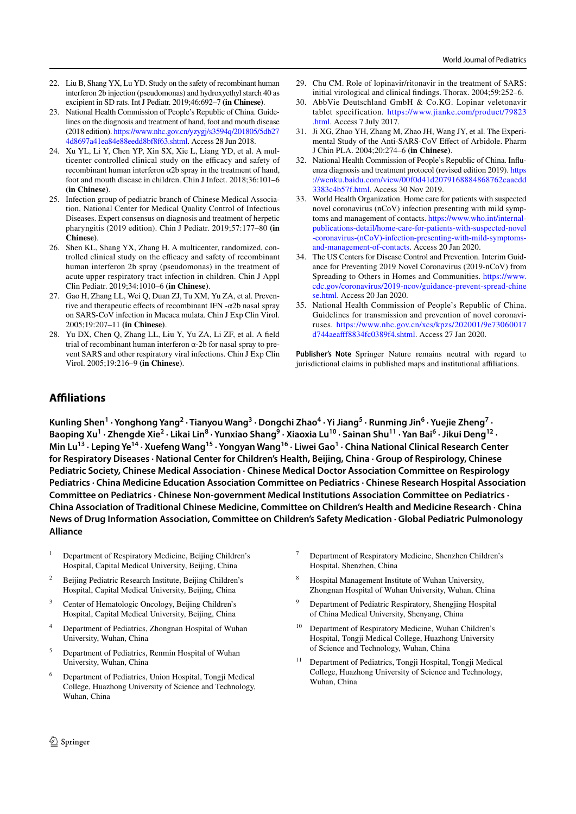- 22. Liu B, Shang YX, Lu YD. Study on the safety of recombinant human interferon 2b injection (pseudomonas) and hydroxyethyl starch 40 as excipient in SD rats. Int J Pediatr. 2019;46:692–7 **(in Chinese)**.
- 23. National Health Commission of People's Republic of China. Guidelines on the diagnosis and treatment of hand, foot and mouth disease (2018 edition). https://www.nhc.gov.cn/yzygj/s3594q/201805/5db27 4d8697a41ea84e88eedd8bf8f63.shtml. Access 28 Jun 2018.
- 24. Xu YL, Li Y, Chen YP, Xin SX, Xie L, Liang YD, et al. A multicenter controlled clinical study on the efficacy and safety of recombinant human interferon α2b spray in the treatment of hand, foot and mouth disease in children. Chin J Infect. 2018;36:101–6 **(in Chinese)**.
- 25. Infection group of pediatric branch of Chinese Medical Association, National Center for Medical Quality Control of Infectious Diseases. Expert consensus on diagnosis and treatment of herpetic pharyngitis (2019 edition). Chin J Pediatr. 2019;57:177–80 **(in Chinese)**.
- 26. Shen KL, Shang YX, Zhang H. A multicenter, randomized, controlled clinical study on the efficacy and safety of recombinant human interferon 2b spray (pseudomonas) in the treatment of acute upper respiratory tract infection in children. Chin J Appl Clin Pediatr. 2019;34:1010–6 **(in Chinese)**.
- 27. Gao H, Zhang LL, Wei Q, Duan ZJ, Tu XM, Yu ZA, et al. Preventive and therapeutic effects of recombinant IFN -α2b nasal spray on SARS-CoV infection in Macaca mulata. Chin J Exp Clin Virol. 2005;19:207–11 **(in Chinese)**.
- 28. Yu DX, Chen Q, Zhang LL, Liu Y, Yu ZA, Li ZF, et al. A field trial of recombinant human interferon  $\alpha$ -2b for nasal spray to prevent SARS and other respiratory viral infections. Chin J Exp Clin Virol. 2005;19:216–9 **(in Chinese)**.
- 29. Chu CM. Role of lopinavir/ritonavir in the treatment of SARS: initial virological and clinical findings. Thorax. 2004;59:252–6.
- 30. AbbVie Deutschland GmbH & Co.KG. Lopinar veletonavir tablet specification. https://www.jianke.com/product/79823 .html. Access 7 July 2017.
- 31. Ji XG, Zhao YH, Zhang M, Zhao JH, Wang JY, et al. The Experimental Study of the Anti-SARS-CoV Effect of Arbidole. Pharm J Chin PLA. 2004;20:274–6 **(in Chinese)**.
- 32. National Health Commission of People's Republic of China. Influenza diagnosis and treatment protocol (revised edition 2019). https ://wenku.baidu.com/view/00f0d41d2079168884868762caaedd 3383c4b57f.html. Access 30 Nov 2019.
- 33. World Health Organization. Home care for patients with suspected novel coronavirus (nCoV) infection presenting with mild symptoms and management of contacts. https://www.who.int/internalpublications-detail/home-care-for-patients-with-suspected-novel -coronavirus-(nCoV)-infection-presenting-with-mild-symptomsand-management-of-contacts. Access 20 Jan 2020.
- 34. The US Centers for Disease Control and Prevention. Interim Guidance for Preventing 2019 Novel Coronavirus (2019-nCoV) from Spreading to Others in Homes and Communities. https://www. cdc.gov/coronavirus/2019-ncov/guidance-prevent-spread-chine se.html. Access 20 Jan 2020.
- 35. National Health Commission of People's Republic of China. Guidelines for transmission and prevention of novel coronaviruses. https://www.nhc.gov.cn/xcs/kpzs/202001/9e73060017 d744aeafff8834fc0389f4.shtml. Access 27 Jan 2020.

**Publisher's Note** Springer Nature remains neutral with regard to jurisdictional claims in published maps and institutional affiliations.

# **Afliations**

Kunling Shen<sup>1</sup> · Yonghong Yang<sup>2</sup> · Tianyou Wang<sup>3</sup> · Dongchi Zhao<sup>4</sup> · Yi Jiang<sup>5</sup> · Runming Jin<sup>6</sup> · Yuejie Zheng<sup>7</sup> · Baoping Xu<sup>1</sup> · Zhengde Xie<sup>2</sup> · Likai Lin<sup>8</sup> · Yunxiao Shang<sup>9</sup> · Xiaoxia Lu<sup>10</sup> · Sainan Shu<sup>11</sup> · Yan Bai<sup>6</sup> · Jikui Deng<sup>12</sup> · **Min Lu13 · Leping Ye14 · Xuefeng Wang15 · Yongyan Wang16 · Liwei Gao1 · China National Clinical Research Center for Respiratory Diseases · National Center for Children's Health, Beijing, China · Group of Respirology, Chinese Pediatric Society, Chinese Medical Association · Chinese Medical Doctor Association Committee on Respirology Pediatrics · China Medicine Education Association Committee on Pediatrics · Chinese Research Hospital Association Committee on Pediatrics · Chinese Non-government Medical Institutions Association Committee on Pediatrics · China Association of Traditional Chinese Medicine, Committee on Children's Health and Medicine Research · China News of Drug Information Association, Committee on Children's Safety Medication · Global Pediatric Pulmonology Alliance**

- <sup>1</sup> Department of Respiratory Medicine, Beijing Children's Hospital, Capital Medical University, Beijing, China
- <sup>2</sup> Beijing Pediatric Research Institute, Beijing Children's Hospital, Capital Medical University, Beijing, China
- Center of Hematologic Oncology, Beijing Children's Hospital, Capital Medical University, Beijing, China
- Department of Pediatrics, Zhongnan Hospital of Wuhan University, Wuhan, China
- <sup>5</sup> Department of Pediatrics, Renmin Hospital of Wuhan University, Wuhan, China
- <sup>6</sup> Department of Pediatrics, Union Hospital, Tongji Medical College, Huazhong University of Science and Technology, Wuhan, China
- <sup>7</sup> Department of Respiratory Medicine, Shenzhen Children's Hospital, Shenzhen, China
- <sup>8</sup> Hospital Management Institute of Wuhan University, Zhongnan Hospital of Wuhan University, Wuhan, China
- <sup>9</sup> Department of Pediatric Respiratory, Shengjing Hospital of China Medical University, Shenyang, China
- <sup>10</sup> Department of Respiratory Medicine, Wuhan Children's Hospital, Tongji Medical College, Huazhong University of Science and Technology, Wuhan, China
- <sup>11</sup> Department of Pediatrics, Tongji Hospital, Tongji Medical College, Huazhong University of Science and Technology, Wuhan, China